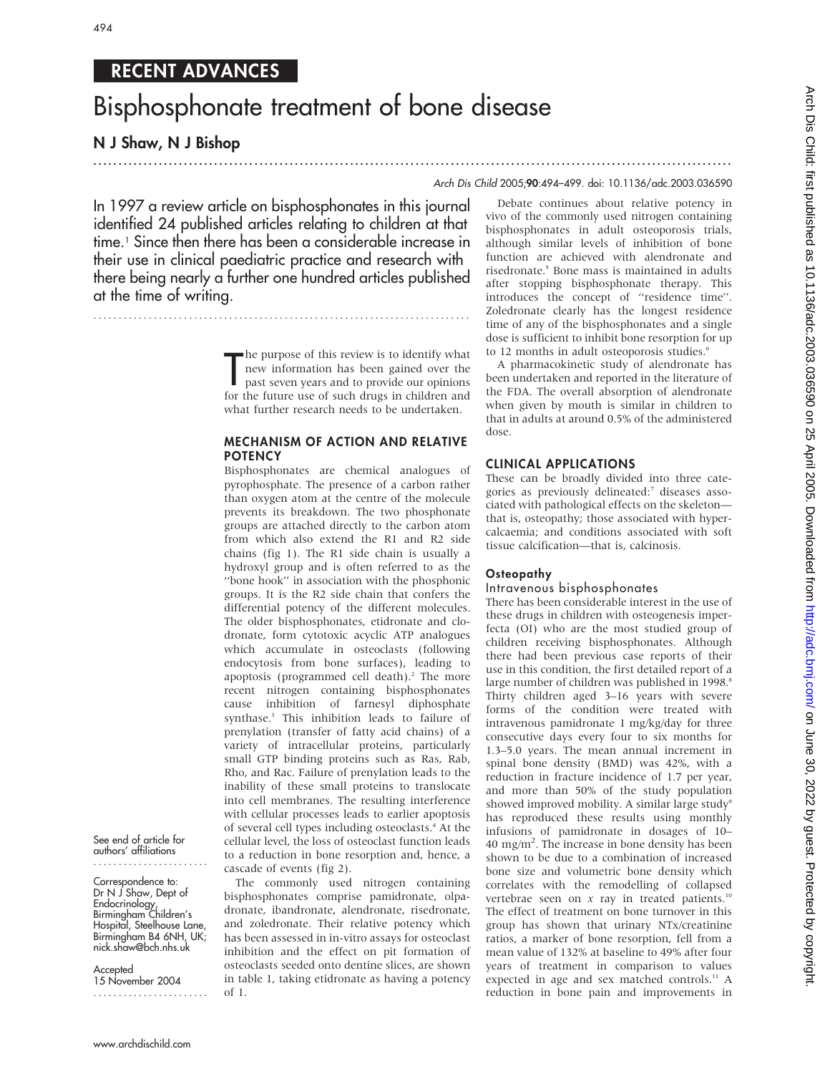# RECENT ADVANCES

# Bisphosphonate treatment of bone disease

# N J Shaw, N J Bishop

## ............................................................................................................................... Arch Dis Child 2005;90:494–499. doi: 10.1136/adc.2003.036590

In 1997 a review article on bisphosphonates in this journal identified 24 published articles relating to children at that time.1 Since then there has been a considerable increase in their use in clinical paediatric practice and research with there being nearly a further one hundred articles published at the time of writing.

...........................................................................

The purpose of this review is to identify what<br>new information has been gained over the<br>past seven years and to provide our opinions<br>for the future use of such drugs in children and **h** he purpose of this review is to identify what new information has been gained over the past seven years and to provide our opinions what further research needs to be undertaken.

## MECHANISM OF ACTION AND RELATIVE **POTENCY**

Bisphosphonates are chemical analogues of pyrophosphate. The presence of a carbon rather than oxygen atom at the centre of the molecule prevents its breakdown. The two phosphonate groups are attached directly to the carbon atom from which also extend the R1 and R2 side chains (fig 1). The R1 side chain is usually a hydroxyl group and is often referred to as the ''bone hook'' in association with the phosphonic groups. It is the R2 side chain that confers the differential potency of the different molecules. The older bisphosphonates, etidronate and clodronate, form cytotoxic acyclic ATP analogues which accumulate in osteoclasts (following endocytosis from bone surfaces), leading to apoptosis (programmed cell death).<sup>2</sup> The more recent nitrogen containing bisphosphonates cause inhibition of farnesyl diphosphate synthase.3 This inhibition leads to failure of prenylation (transfer of fatty acid chains) of a variety of intracellular proteins, particularly small GTP binding proteins such as Ras, Rab, Rho, and Rac. Failure of prenylation leads to the inability of these small proteins to translocate into cell membranes. The resulting interference with cellular processes leads to earlier apoptosis of several cell types including osteoclasts.4 At the cellular level, the loss of osteoclast function leads to a reduction in bone resorption and, hence, a cascade of events (fig 2).

The commonly used nitrogen containing bisphosphonates comprise pamidronate, olpadronate, ibandronate, alendronate, risedronate, and zoledronate. Their relative potency which has been assessed in in-vitro assays for osteoclast inhibition and the effect on pit formation of osteoclasts seeded onto dentine slices, are shown in table 1, taking etidronate as having a potency of 1.

Debate continues about relative potency in vivo of the commonly used nitrogen containing bisphosphonates in adult osteoporosis trials, although similar levels of inhibition of bone function are achieved with alendronate and risedronate.<sup>5</sup> Bone mass is maintained in adults after stopping bisphosphonate therapy. This introduces the concept of ''residence time''. Zoledronate clearly has the longest residence time of any of the bisphosphonates and a single dose is sufficient to inhibit bone resorption for up to 12 months in adult osteoporosis studies.<sup>6</sup>

A pharmacokinetic study of alendronate has been undertaken and reported in the literature of the FDA. The overall absorption of alendronate when given by mouth is similar in children to that in adults at around 0.5% of the administered dose.

## CLINICAL APPLICATIONS

These can be broadly divided into three categories as previously delineated:<sup>7</sup> diseases associated with pathological effects on the skeleton that is, osteopathy; those associated with hypercalcaemia; and conditions associated with soft tissue calcification—that is, calcinosis.

#### **Osteopathy**

## Intravenous bisphosphonates

There has been considerable interest in the use of these drugs in children with osteogenesis imperfecta (OI) who are the most studied group of children receiving bisphosphonates. Although there had been previous case reports of their use in this condition, the first detailed report of a large number of children was published in 1998.<sup>8</sup> Thirty children aged 3–16 years with severe forms of the condition were treated with intravenous pamidronate 1 mg/kg/day for three consecutive days every four to six months for 1.3–5.0 years. The mean annual increment in spinal bone density (BMD) was 42%, with a reduction in fracture incidence of 1.7 per year, and more than 50% of the study population showed improved mobility. A similar large study<sup>9</sup> has reproduced these results using monthly infusions of pamidronate in dosages of 10– 40 mg/m<sup>2</sup>. The increase in bone density has been shown to be due to a combination of increased bone size and volumetric bone density which correlates with the remodelling of collapsed vertebrae seen on  $x$  ray in treated patients.<sup>10</sup> The effect of treatment on bone turnover in this group has shown that urinary NTx/creatinine ratios, a marker of bone resorption, fell from a mean value of 132% at baseline to 49% after four years of treatment in comparison to values expected in age and sex matched controls.<sup>11</sup> A reduction in bone pain and improvements in

See end of article for authors' affiliations .......................

Correspondence to: Dr N J Shaw, Dept of Endocrinology, Birmingham Children's Hospital, Steelhouse Lane, Birmingham B4 6NH, UK; nick.shaw@bch.nhs.uk

**Accepted** 15 November 2004 .......................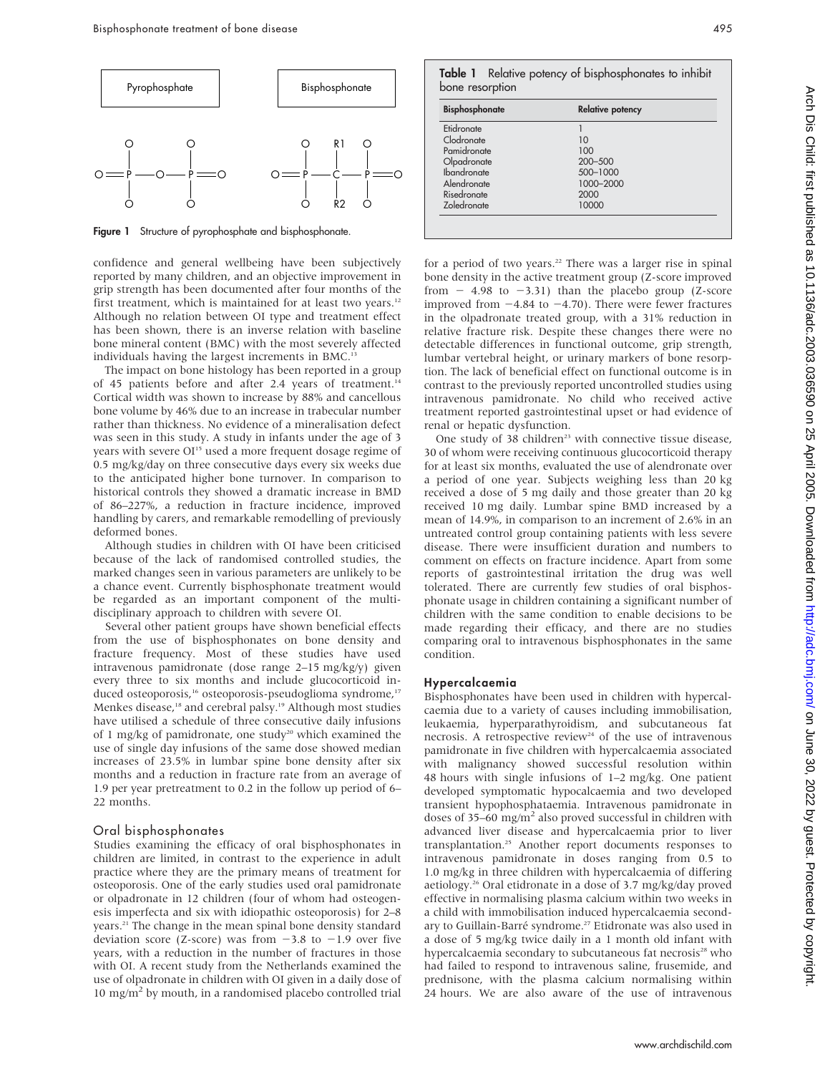

Figure 1 Structure of pyrophosphate and bisphosphonate.

confidence and general wellbeing have been subjectively reported by many children, and an objective improvement in grip strength has been documented after four months of the first treatment, which is maintained for at least two years.<sup>12</sup> Although no relation between OI type and treatment effect has been shown, there is an inverse relation with baseline bone mineral content (BMC) with the most severely affected individuals having the largest increments in BMC.

The impact on bone histology has been reported in a group of 45 patients before and after 2.4 years of treatment.<sup>14</sup> Cortical width was shown to increase by 88% and cancellous bone volume by 46% due to an increase in trabecular number rather than thickness. No evidence of a mineralisation defect was seen in this study. A study in infants under the age of 3 years with severe OI<sup>15</sup> used a more frequent dosage regime of 0.5 mg/kg/day on three consecutive days every six weeks due to the anticipated higher bone turnover. In comparison to historical controls they showed a dramatic increase in BMD of 86–227%, a reduction in fracture incidence, improved handling by carers, and remarkable remodelling of previously deformed bones.

Although studies in children with OI have been criticised because of the lack of randomised controlled studies, the marked changes seen in various parameters are unlikely to be a chance event. Currently bisphosphonate treatment would be regarded as an important component of the multidisciplinary approach to children with severe OI.

Several other patient groups have shown beneficial effects from the use of bisphosphonates on bone density and fracture frequency. Most of these studies have used intravenous pamidronate (dose range 2–15 mg/kg/y) given every three to six months and include glucocorticoid induced osteoporosis,<sup>16</sup> osteoporosis-pseudoglioma syndrome,<sup>17</sup> Menkes disease,<sup>18</sup> and cerebral palsy.<sup>19</sup> Although most studies have utilised a schedule of three consecutive daily infusions of 1 mg/kg of pamidronate, one study<sup>20</sup> which examined the use of single day infusions of the same dose showed median increases of 23.5% in lumbar spine bone density after six months and a reduction in fracture rate from an average of 1.9 per year pretreatment to 0.2 in the follow up period of 6– 22 months.

#### Oral bisphosphonates

Studies examining the efficacy of oral bisphosphonates in children are limited, in contrast to the experience in adult practice where they are the primary means of treatment for osteoporosis. One of the early studies used oral pamidronate or olpadronate in 12 children (four of whom had osteogenesis imperfecta and six with idiopathic osteoporosis) for 2–8 years.<sup>21</sup> The change in the mean spinal bone density standard deviation score (Z-score) was from  $-3.8$  to  $-1.9$  over five years, with a reduction in the number of fractures in those with OI. A recent study from the Netherlands examined the use of olpadronate in children with OI given in a daily dose of 10 mg/m<sup>2</sup> by mouth, in a randomised placebo controlled trial

| <b>Bisphosphonate</b> | <b>Relative potency</b> |
|-----------------------|-------------------------|
|                       |                         |
| Etidronate            |                         |
| Clodronate            | 10                      |
| Pamidronate           | 100                     |
| Olpadronate           | $200 - 500$             |
| <b>Ibandronate</b>    | 500-1000                |
| Alendronate           | 1000-2000               |
| Risedronate           | 2000                    |
| Zoledronate           | 10000                   |

for a period of two years.<sup>22</sup> There was a larger rise in spinal bone density in the active treatment group (Z-score improved from  $-$  4.98 to  $-3.31$ ) than the placebo group (Z-score improved from  $-4.84$  to  $-4.70$ ). There were fewer fractures in the olpadronate treated group, with a 31% reduction in relative fracture risk. Despite these changes there were no detectable differences in functional outcome, grip strength, lumbar vertebral height, or urinary markers of bone resorption. The lack of beneficial effect on functional outcome is in contrast to the previously reported uncontrolled studies using intravenous pamidronate. No child who received active treatment reported gastrointestinal upset or had evidence of renal or hepatic dysfunction.

One study of 38 children<sup>23</sup> with connective tissue disease, 30 of whom were receiving continuous glucocorticoid therapy for at least six months, evaluated the use of alendronate over a period of one year. Subjects weighing less than 20 kg received a dose of 5 mg daily and those greater than 20 kg received 10 mg daily. Lumbar spine BMD increased by a mean of 14.9%, in comparison to an increment of 2.6% in an untreated control group containing patients with less severe disease. There were insufficient duration and numbers to comment on effects on fracture incidence. Apart from some reports of gastrointestinal irritation the drug was well tolerated. There are currently few studies of oral bisphosphonate usage in children containing a significant number of children with the same condition to enable decisions to be made regarding their efficacy, and there are no studies comparing oral to intravenous bisphosphonates in the same condition.

#### Hypercalcaemia

Bisphosphonates have been used in children with hypercalcaemia due to a variety of causes including immobilisation, leukaemia, hyperparathyroidism, and subcutaneous fat necrosis. A retrospective review<sup>24</sup> of the use of intravenous pamidronate in five children with hypercalcaemia associated with malignancy showed successful resolution within 48 hours with single infusions of 1–2 mg/kg. One patient developed symptomatic hypocalcaemia and two developed transient hypophosphataemia. Intravenous pamidronate in doses of 35–60 mg/ $m<sup>2</sup>$  also proved successful in children with advanced liver disease and hypercalcaemia prior to liver transplantation.25 Another report documents responses to intravenous pamidronate in doses ranging from 0.5 to 1.0 mg/kg in three children with hypercalcaemia of differing aetiology.26 Oral etidronate in a dose of 3.7 mg/kg/day proved effective in normalising plasma calcium within two weeks in a child with immobilisation induced hypercalcaemia secondary to Guillain-Barré syndrome.<sup>27</sup> Etidronate was also used in a dose of 5 mg/kg twice daily in a 1 month old infant with hypercalcaemia secondary to subcutaneous fat necrosis<sup>28</sup> who had failed to respond to intravenous saline, frusemide, and prednisone, with the plasma calcium normalising within 24 hours. We are also aware of the use of intravenous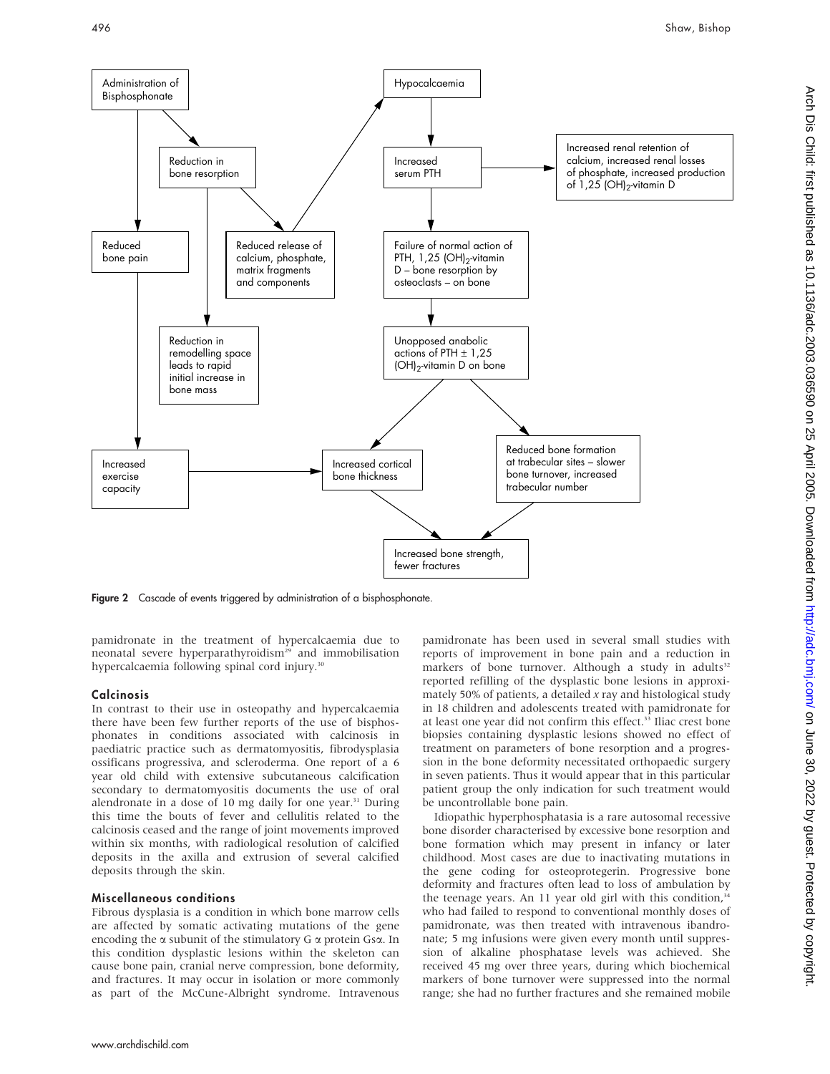

Figure 2 Cascade of events triggered by administration of a bisphosphonate.

pamidronate in the treatment of hypercalcaemia due to neonatal severe hyperparathyroidism<sup>29</sup> and immobilisation hypercalcaemia following spinal cord injury.<sup>30</sup>

#### **Calcinosis**

In contrast to their use in osteopathy and hypercalcaemia there have been few further reports of the use of bisphosphonates in conditions associated with calcinosis in paediatric practice such as dermatomyositis, fibrodysplasia ossificans progressiva, and scleroderma. One report of a 6 year old child with extensive subcutaneous calcification secondary to dermatomyositis documents the use of oral alendronate in a dose of 10 mg daily for one year. $31$  During this time the bouts of fever and cellulitis related to the calcinosis ceased and the range of joint movements improved within six months, with radiological resolution of calcified deposits in the axilla and extrusion of several calcified deposits through the skin.

#### Miscellaneous conditions

Fibrous dysplasia is a condition in which bone marrow cells are affected by somatic activating mutations of the gene encoding the  $\alpha$  subunit of the stimulatory G  $\alpha$  protein Gs $\alpha$ . In this condition dysplastic lesions within the skeleton can cause bone pain, cranial nerve compression, bone deformity, and fractures. It may occur in isolation or more commonly as part of the McCune-Albright syndrome. Intravenous

pamidronate has been used in several small studies with reports of improvement in bone pain and a reduction in markers of bone turnover. Although a study in adults<sup>32</sup> reported refilling of the dysplastic bone lesions in approximately 50% of patients, a detailed  $x$  ray and histological study in 18 children and adolescents treated with pamidronate for at least one year did not confirm this effect.<sup>33</sup> Iliac crest bone biopsies containing dysplastic lesions showed no effect of treatment on parameters of bone resorption and a progression in the bone deformity necessitated orthopaedic surgery in seven patients. Thus it would appear that in this particular patient group the only indication for such treatment would be uncontrollable bone pain.

Idiopathic hyperphosphatasia is a rare autosomal recessive bone disorder characterised by excessive bone resorption and bone formation which may present in infancy or later childhood. Most cases are due to inactivating mutations in the gene coding for osteoprotegerin. Progressive bone deformity and fractures often lead to loss of ambulation by the teenage years. An 11 year old girl with this condition, $34$ who had failed to respond to conventional monthly doses of pamidronate, was then treated with intravenous ibandronate; 5 mg infusions were given every month until suppression of alkaline phosphatase levels was achieved. She received 45 mg over three years, during which biochemical markers of bone turnover were suppressed into the normal range; she had no further fractures and she remained mobile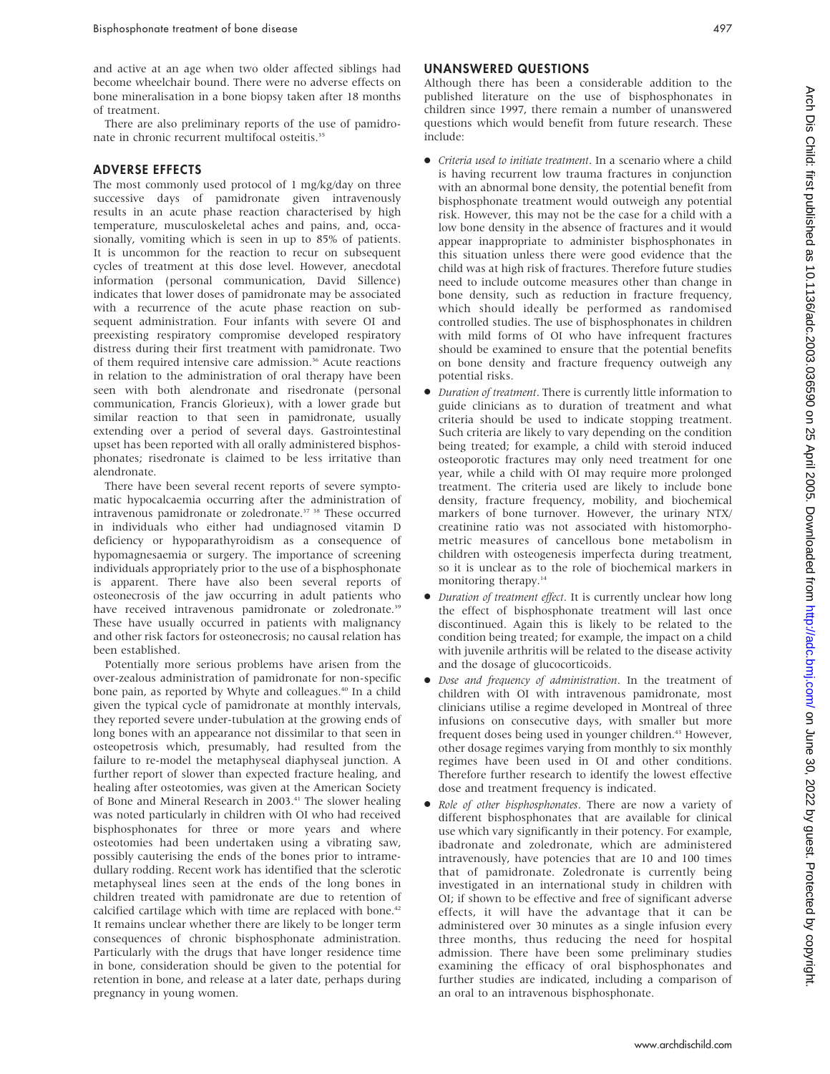and active at an age when two older affected siblings had become wheelchair bound. There were no adverse effects on bone mineralisation in a bone biopsy taken after 18 months of treatment.

There are also preliminary reports of the use of pamidronate in chronic recurrent multifocal osteitis.<sup>35</sup>

#### ADVERSE EFFECTS

The most commonly used protocol of 1 mg/kg/day on three successive days of pamidronate given intravenously results in an acute phase reaction characterised by high temperature, musculoskeletal aches and pains, and, occasionally, vomiting which is seen in up to 85% of patients. It is uncommon for the reaction to recur on subsequent cycles of treatment at this dose level. However, anecdotal information (personal communication, David Sillence) indicates that lower doses of pamidronate may be associated with a recurrence of the acute phase reaction on subsequent administration. Four infants with severe OI and preexisting respiratory compromise developed respiratory distress during their first treatment with pamidronate. Two of them required intensive care admission.<sup>36</sup> Acute reactions in relation to the administration of oral therapy have been seen with both alendronate and risedronate (personal communication, Francis Glorieux), with a lower grade but similar reaction to that seen in pamidronate, usually extending over a period of several days. Gastrointestinal upset has been reported with all orally administered bisphosphonates; risedronate is claimed to be less irritative than alendronate.

There have been several recent reports of severe symptomatic hypocalcaemia occurring after the administration of intravenous pamidronate or zoledronate.37 38 These occurred in individuals who either had undiagnosed vitamin D deficiency or hypoparathyroidism as a consequence of hypomagnesaemia or surgery. The importance of screening individuals appropriately prior to the use of a bisphosphonate is apparent. There have also been several reports of osteonecrosis of the jaw occurring in adult patients who have received intravenous pamidronate or zoledronate.<sup>39</sup> These have usually occurred in patients with malignancy and other risk factors for osteonecrosis; no causal relation has been established.

Potentially more serious problems have arisen from the over-zealous administration of pamidronate for non-specific bone pain, as reported by Whyte and colleagues.<sup>40</sup> In a child given the typical cycle of pamidronate at monthly intervals, they reported severe under-tubulation at the growing ends of long bones with an appearance not dissimilar to that seen in osteopetrosis which, presumably, had resulted from the failure to re-model the metaphyseal diaphyseal junction. A further report of slower than expected fracture healing, and healing after osteotomies, was given at the American Society of Bone and Mineral Research in 2003.<sup>41</sup> The slower healing was noted particularly in children with OI who had received bisphosphonates for three or more years and where osteotomies had been undertaken using a vibrating saw, possibly cauterising the ends of the bones prior to intramedullary rodding. Recent work has identified that the sclerotic metaphyseal lines seen at the ends of the long bones in children treated with pamidronate are due to retention of calcified cartilage which with time are replaced with bone.<sup>42</sup> It remains unclear whether there are likely to be longer term consequences of chronic bisphosphonate administration. Particularly with the drugs that have longer residence time in bone, consideration should be given to the potential for retention in bone, and release at a later date, perhaps during pregnancy in young women.

#### UNANSWERED QUESTIONS

Although there has been a considerable addition to the published literature on the use of bisphosphonates in children since 1997, there remain a number of unanswered questions which would benefit from future research. These include:

- N Criteria used to initiate treatment. In a scenario where a child is having recurrent low trauma fractures in conjunction with an abnormal bone density, the potential benefit from bisphosphonate treatment would outweigh any potential risk. However, this may not be the case for a child with a low bone density in the absence of fractures and it would appear inappropriate to administer bisphosphonates in this situation unless there were good evidence that the child was at high risk of fractures. Therefore future studies need to include outcome measures other than change in bone density, such as reduction in fracture frequency, which should ideally be performed as randomised controlled studies. The use of bisphosphonates in children with mild forms of OI who have infrequent fractures should be examined to ensure that the potential benefits on bone density and fracture frequency outweigh any potential risks.
- $\bullet$  Duration of treatment. There is currently little information to guide clinicians as to duration of treatment and what criteria should be used to indicate stopping treatment. Such criteria are likely to vary depending on the condition being treated; for example, a child with steroid induced osteoporotic fractures may only need treatment for one year, while a child with OI may require more prolonged treatment. The criteria used are likely to include bone density, fracture frequency, mobility, and biochemical markers of bone turnover. However, the urinary NTX/ creatinine ratio was not associated with histomorphometric measures of cancellous bone metabolism in children with osteogenesis imperfecta during treatment, so it is unclear as to the role of biochemical markers in monitoring therapy.<sup>14</sup>
- $\bullet$  Duration of treatment effect. It is currently unclear how long the effect of bisphosphonate treatment will last once discontinued. Again this is likely to be related to the condition being treated; for example, the impact on a child with juvenile arthritis will be related to the disease activity and the dosage of glucocorticoids.
- $\bullet$  Dose and frequency of administration. In the treatment of children with OI with intravenous pamidronate, most clinicians utilise a regime developed in Montreal of three infusions on consecutive days, with smaller but more frequent doses being used in younger children.<sup>43</sup> However, other dosage regimes varying from monthly to six monthly regimes have been used in OI and other conditions. Therefore further research to identify the lowest effective dose and treatment frequency is indicated.
- Role of other bisphosphonates. There are now a variety of different bisphosphonates that are available for clinical use which vary significantly in their potency. For example, ibadronate and zoledronate, which are administered intravenously, have potencies that are 10 and 100 times that of pamidronate. Zoledronate is currently being investigated in an international study in children with OI; if shown to be effective and free of significant adverse effects, it will have the advantage that it can be administered over 30 minutes as a single infusion every three months, thus reducing the need for hospital admission. There have been some preliminary studies examining the efficacy of oral bisphosphonates and further studies are indicated, including a comparison of an oral to an intravenous bisphosphonate.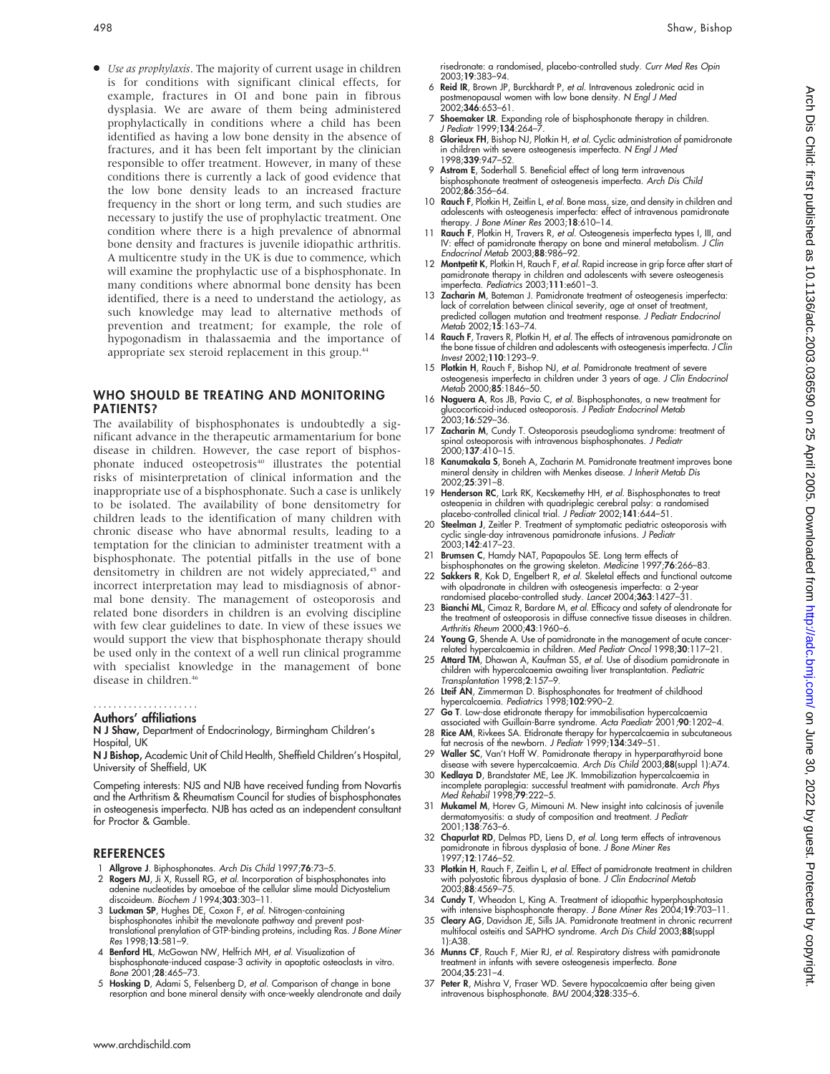• Use as prophylaxis. The majority of current usage in children is for conditions with significant clinical effects, for example, fractures in OI and bone pain in fibrous dysplasia. We are aware of them being administered prophylactically in conditions where a child has been identified as having a low bone density in the absence of fractures, and it has been felt important by the clinician responsible to offer treatment. However, in many of these conditions there is currently a lack of good evidence that the low bone density leads to an increased fracture frequency in the short or long term, and such studies are necessary to justify the use of prophylactic treatment. One condition where there is a high prevalence of abnormal bone density and fractures is juvenile idiopathic arthritis. A multicentre study in the UK is due to commence, which will examine the prophylactic use of a bisphosphonate. In many conditions where abnormal bone density has been identified, there is a need to understand the aetiology, as such knowledge may lead to alternative methods of prevention and treatment; for example, the role of hypogonadism in thalassaemia and the importance of appropriate sex steroid replacement in this group.<sup>44</sup>

## WHO SHOULD BE TREATING AND MONITORING PATIENTS?

The availability of bisphosphonates is undoubtedly a significant advance in the therapeutic armamentarium for bone disease in children. However, the case report of bisphosphonate induced osteopetrosis<sup>40</sup> illustrates the potential risks of misinterpretation of clinical information and the inappropriate use of a bisphosphonate. Such a case is unlikely to be isolated. The availability of bone densitometry for children leads to the identification of many children with chronic disease who have abnormal results, leading to a temptation for the clinician to administer treatment with a bisphosphonate. The potential pitfalls in the use of bone densitometry in children are not widely appreciated,<sup>45</sup> and incorrect interpretation may lead to misdiagnosis of abnormal bone density. The management of osteoporosis and related bone disorders in children is an evolving discipline with few clear guidelines to date. In view of these issues we would support the view that bisphosphonate therapy should be used only in the context of a well run clinical programme with specialist knowledge in the management of bone disease in children.<sup>46</sup>

#### Authors' affiliations .....................

#### N J Shaw, Department of Endocrinology, Birmingham Children's Hospital, UK

N J Bishop, Academic Unit of Child Health, Sheffield Children's Hospital, University of Sheffield, UK

Competing interests: NJS and NJB have received funding from Novartis and the Arthritism & Rheumatism Council for studies of bisphosphonates in osteogenesis imperfecta. NJB has acted as an independent consultant for Proctor & Gamble.

#### REFERENCES

- 1 Allgrove J. Biphosphonates. Arch Dis Child 1997;76:73–5.
- 2 Rogers MJ, Ji X, Russell RG, et al. Incorporation of bisphosphonates into adenine nucleotides by amoebae of the cellular slime mould Dictyostelium<br>discoideum. *Biochem J* 1994;**303**:303–11.
- 3 Luckman SP, Hughes DE, Coxon F, et al. Nitrogen-containing bisphosphonates inhibit the mevalonate pathway and prevent posttranslational prenylation of GTP-binding proteins, including Ras. J Bone Miner Res 1998;13:581–9.
- 4 Benford HL, McGowan NW, Helfrich MH, et al. Visualization of bisphosphonate-induced caspase-3 activity in apoptotic osteoclasts in vitro. Bone 2001;28:465–73.
- 5 Hosking D, Adami S, Felsenberg D, et al. Comparison of change in bone resorption and bone mineral density with once-weekly alendronate and daily
- 6 Reid IR, Brown JP, Burckhardt P, et al. Intravenous zoledronic acid in postmenopausal women with low bone density. N Engl J Med<br>2002;**346**:653–61.
- 7 Shoemaker LR. Expanding role of bisphosphonate therapy in children. J Pediatr 1999:134:264-
- 8 Glorieux FH, Bishop NJ, Plotkin H, et al. Cyclic administration of pamidronate in children with severe osteogenesis imperfecta. N Engl J Med 1998;339:947–52.
- 9 Astrom E, Soderhall S. Beneficial effect of long term intravenous bisphosphonate treatment of osteogenesis imperfecta. Arch Dis Child 2002;86:356–64.
- 10 Rauch F, Plotkin H, Zeitlin L, et al. Bone mass, size, and density in children and adolescents with osteogenesis imperfecta: effect of intravenous pamidronate therapy. J Bone Miner Res 2003;18:610–14.
- 11 Rauch F, Plotkin H, Travers R, et al. Osteogenesis imperfecta types I, III, and IV: effect of pamidronate therapy on bone and mineral metabolism. J Clin Endocrinol Metab 2003;88:986–92.
- 12 Montpetit K, Plotkin H, Rauch F, et al. Rapid increase in grip force after start of pamidronate therapy in children and adolescents with severe osteogenesis imperfecta. Pediatrics 2003;111:e601–3.
- 13 Zacharin M, Bateman J. Pamidronate treatment of osteogenesis imperfecta: lack of correlation between clinical severity, age at onset of treatment, predicted collagen mutation and treatment response. J Pediatr Endocrinol Metab 2002;15:163–74.
- 14 Rauch F, Travers R, Plotkin H, et al. The effects of intravenous pamidronate on the bone tissue of children and adolescents with osteogenesis imperfecta. J Clin Invest 2002;110:1293–9.
- 15 Plotkin H, Rauch F, Bishop NJ, et al. Pamidronate treatment of severe osteogenesis imperfecta in children under 3 years of age. J Clin Endocrinol Metab 2000;85:1846–50.
- 16 Noguera A, Ros JB, Pavia C, et al. Bisphosphonates, a new treatment for glucocorticoid-induced osteoporosis. *J Pediatr Endocrinol Metab*<br>2003;**16**:529–36.
- 17 Zacharin M, Cundy T. Osteoporosis pseudoglioma syndrome: treatment of spinal osteoporosis with intravenous bisphosphonates. J Pediatr 2000;137:410–15.
- 18 Kanumakala S, Boneh A, Zacharin M. Pamidronate treatment improves bone mineral density in children with Menkes disease. J Inherit Metab Dis 2002;25:391–8.
- 19 Henderson RC, Lark RK, Kecskemethy HH, et al. Bisphosphonates to treat osteopenia in children with quadriplegic cerebral palsy: a randomised<br>placebo-controlled clinical trial. *J Pediatr* 2002;**141**:644–51.
- 20 Steelman J, Zeitler P. Treatment of symptomatic pediatric osteoporosis with cyclic single-day intravenous pamidronate infusions. J Pediatr 2003;142:417–23.
- 
- 21 Brumsen C, Hamdy NAT, Papapoulos SE. Long term effects of<br>bisphosphonates on the growing skeleton. Medicine 1997;76:266–83.<br>22 Sakkers R, Kok D, Engelbert R, *et al.* Skeletal effects and functional outcome with olpadronate in children with osteogenesis imperfecta: a 2-year randomised placebo-controlled study. Lancet 2004;363:1427–31.
- 23 Bianchi ML, Cimaz R, Bardare M, et al. Efficacy and safety of alendronate for the treatment of osteoporosis in diffuse connective tissue diseases in children. Arthritis Rheum 2000;43:1960–6.
- 24 Young G, Shende A. Use of pamidronate in the management of acute cancer-related hypercalcaemia in children. Med Pediatr Oncol 1998;30:117–21.
- 25 Attard TM, Dhawan A, Kaufman SS, et al. Use of disodium pamidronate in children with hypercalcaemia awaiting liver transplantation. Pediatric Transplantation 1998;2:157–9.
- 26 Lteif AN, Zimmerman D. Bisphosphonates for treatment of childhood hypercalcaemia. Pediatrics 1998;102:990–2.
- 27 Go T. Low-dose etidronate therapy for immobilisation hypercalcaemia associated with Guillain-Barre syndrome. Acta Paediatr 2001;90:1202–4.
- 28 Rice AM, Rivkees SA. Etidronate therapy for hypercalcaemia in subcutaneous fat necrosis of the newborn. J Pediatr 1999;134:349–51.
- 29 Waller SC, Van't Hoff W. Pamidronate therapy in hyperparathyroid bone
- disease with severe hypercalcaemia. Ar*ch Dis Child* 2003;**88**(suppl 1):A74.<br>30 **Kedlaya D**, Brandstater ME, Lee JK. Immobilization hypercalcaemia in<br>incomplete paraplegia: successful treatment with pamidronate. Ar*ch Phys* Med Rehabil 1998;79:222–5.
- 31 Mukamel M, Horev G, Mimouni M. New insight into calcinosis of juvenile dermatomyositis: a study of composition and treatment. J Pediatr 2001;138:763–6.
- 32 Chapurlat RD, Delmas PD, Liens D, et al. Long term effects of intravenous pamidronate in fibrous dysplasia of bone. J Bone Miner Res 1997;12:1746–52.
- 33 Plotkin H, Rauch F, Zeitlin L, et al. Effect of pamidronate treatment in children with polyostotic fibrous dysplasia of bone. J Clin Endocrinol Metab 2003;88:4569–75.
- 34 Cundy T, Wheadon L, King A. Treatment of idiopathic hyperphosphatasia with intensive bisphosphonate therapy. J Bone Miner Res 2004;19:703–11.
- 35 Cleary AG, Davidson JE, Sills JA. Pamidronate treatment in chronic recurrent multifocal osteitis and SAPHO syndrome. Arch Dis Child 2003;88(suppl 1):A38.
- 36 Munns CF, Rauch F, Mier RJ, et al. Respiratory distress with pamidronate treatment in infants with severe osteogenesis imperfecta. Bone 2004;35:231–4.
- 37 Peter R, Mishra V, Fraser WD. Severe hypocalcaemia after being given intravenous bisphosphonate. BMJ 2004;328:335–6.